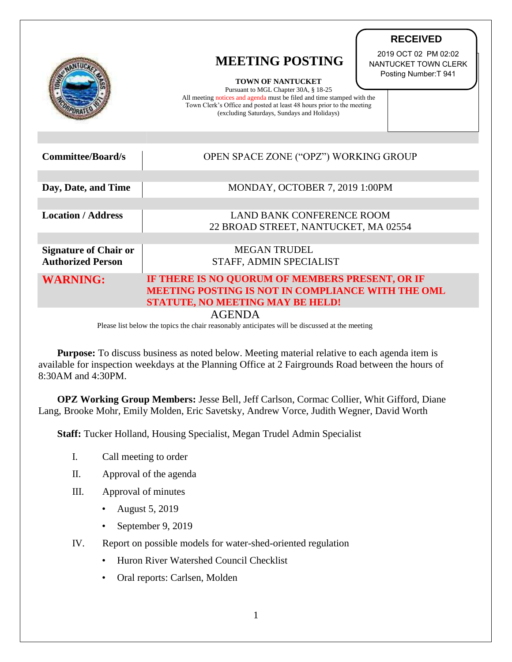|                              | <b>MEETING POSTING</b><br><b>TOWN OF NANTUCKET</b><br>Pursuant to MGL Chapter 30A, § 18-25<br>All meeting notices and agenda must be filed and time stamped with the<br>Town Clerk's Office and posted at least 48 hours prior to the meeting<br>(excluding Saturdays, Sundays and Holidays) | 2019 OCT 02 PM 02:02<br>NANTUCKET TOWN CLERK<br>Posting Number: T 941 |
|------------------------------|----------------------------------------------------------------------------------------------------------------------------------------------------------------------------------------------------------------------------------------------------------------------------------------------|-----------------------------------------------------------------------|
|                              |                                                                                                                                                                                                                                                                                              |                                                                       |
| <b>Committee/Board/s</b>     | OPEN SPACE ZONE ("OPZ") WORKING GROUP                                                                                                                                                                                                                                                        |                                                                       |
|                              |                                                                                                                                                                                                                                                                                              |                                                                       |
| Day, Date, and Time          | MONDAY, OCTOBER 7, 2019 1:00PM                                                                                                                                                                                                                                                               |                                                                       |
|                              |                                                                                                                                                                                                                                                                                              |                                                                       |
| <b>Location / Address</b>    | <b>LAND BANK CONFERENCE ROOM</b><br>22 BROAD STREET, NANTUCKET, MA 02554                                                                                                                                                                                                                     |                                                                       |
|                              |                                                                                                                                                                                                                                                                                              |                                                                       |
| <b>Signature of Chair or</b> | <b>MEGAN TRUDEL</b>                                                                                                                                                                                                                                                                          |                                                                       |
| <b>Authorized Person</b>     | STAFF, ADMIN SPECIALIST                                                                                                                                                                                                                                                                      |                                                                       |
| <b>WARNING:</b>              | IF THERE IS NO QUORUM OF MEMBERS PRESENT, OR IF                                                                                                                                                                                                                                              |                                                                       |
|                              | MEETING POSTING IS NOT IN COMPLIANCE WITH THE OML                                                                                                                                                                                                                                            |                                                                       |
|                              | <b>STATUTE, NO MEETING MAY BE HELD!</b>                                                                                                                                                                                                                                                      |                                                                       |
|                              | <b>AGENDA</b>                                                                                                                                                                                                                                                                                |                                                                       |

**RECEIVED**

Please list below the topics the chair reasonably anticipates will be discussed at the meeting

**Purpose:** To discuss business as noted below. Meeting material relative to each agenda item is available for inspection weekdays at the Planning Office at 2 Fairgrounds Road between the hours of 8:30AM and 4:30PM.

**OPZ Working Group Members:** Jesse Bell, Jeff Carlson, Cormac Collier, Whit Gifford, Diane Lang, Brooke Mohr, Emily Molden, Eric Savetsky, Andrew Vorce, Judith Wegner, David Worth

**Staff:** Tucker Holland, Housing Specialist, Megan Trudel Admin Specialist

- I. Call meeting to order
- II. Approval of the agenda
- III. Approval of minutes
	- August 5, 2019
	- September 9, 2019
- IV. Report on possible models for water-shed-oriented regulation
	- Huron River Watershed Council Checklist
	- Oral reports: Carlsen, Molden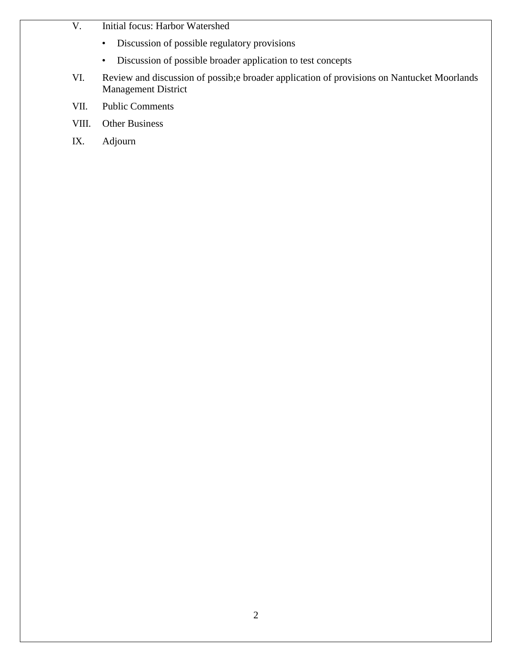- V. Initial focus: Harbor Watershed
	- Discussion of possible regulatory provisions
	- Discussion of possible broader application to test concepts
- VI. Review and discussion of possib;e broader application of provisions on Nantucket Moorlands Management District
- VII. Public Comments
- VIII. Other Business
- IX. Adjourn